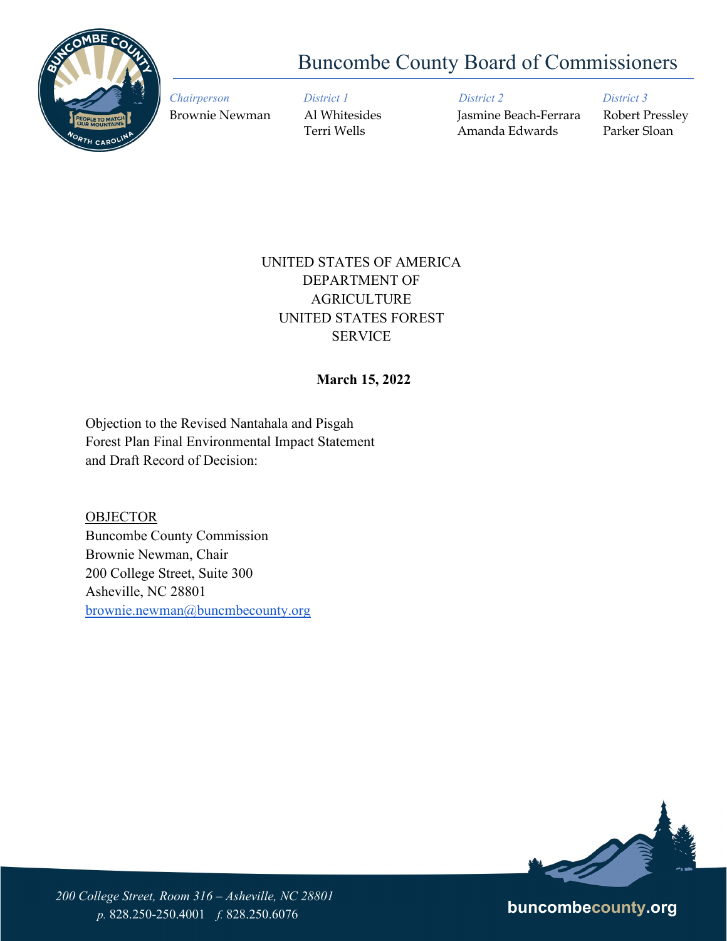

# Buncombe County Board of Commissioners

*Chairperson District 1 District 2 District 3* Brownie Newman Al Whitesides Jasmine Beach-Ferrara Robert Pressley Terri Wells Amanda Edwards Parker Sloan

# UNITED STATES OF AMERICA DEPARTMENT OF AGRICULTURE UNITED STATES FOREST SERVICE

## **March 15, 2022**

Objection to the Revised Nantahala and Pisgah Forest Plan Final Environmental Impact Statement and Draft Record of Decision:

**OBJECTOR** Buncombe County Commission Brownie Newman, Chair 200 College Street, Suite 300 Asheville, NC 28801 [brownie.newman@buncmbecounty.org](mailto:brownie.newman@buncmbecounty.org)



*200 College Street, Room 316 – Asheville, NC 28801 p.* 828.250-250.4001 *f.* 828.250.6076 **buncombecounty.org**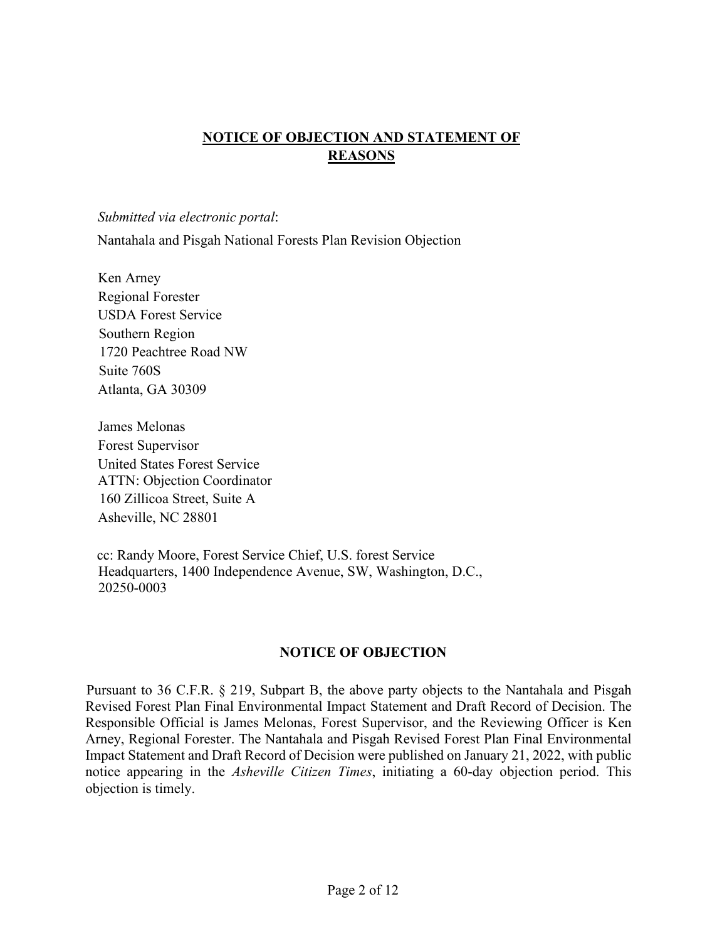# **NOTICE OF OBJECTION AND STATEMENT OF REASONS**

*Submitted via electronic portal*:

Nantahala and Pisgah National Forests Plan Revision Objection

Ken Arney Regional Forester USDA Forest Service Southern Region 1720 Peachtree Road NW Suite 760S Atlanta, GA 30309

James Melonas Forest Supervisor United States Forest Service ATTN: Objection Coordinator 160 Zillicoa Street, Suite A Asheville, NC 28801

cc: Randy Moore, Forest Service Chief, U.S. forest Service Headquarters, 1400 Independence Avenue, SW, Washington, D.C., 20250-0003

#### **NOTICE OF OBJECTION**

Pursuant to 36 C.F.R. § 219, Subpart B, the above party objects to the Nantahala and Pisgah Revised Forest Plan Final Environmental Impact Statement and Draft Record of Decision. The Responsible Official is James Melonas, Forest Supervisor, and the Reviewing Officer is Ken Arney, Regional Forester. The Nantahala and Pisgah Revised Forest Plan Final Environmental Impact Statement and Draft Record of Decision were published on January 21, 2022, with public notice appearing in the *Asheville Citizen Times*, initiating a 60-day objection period. This objection is timely.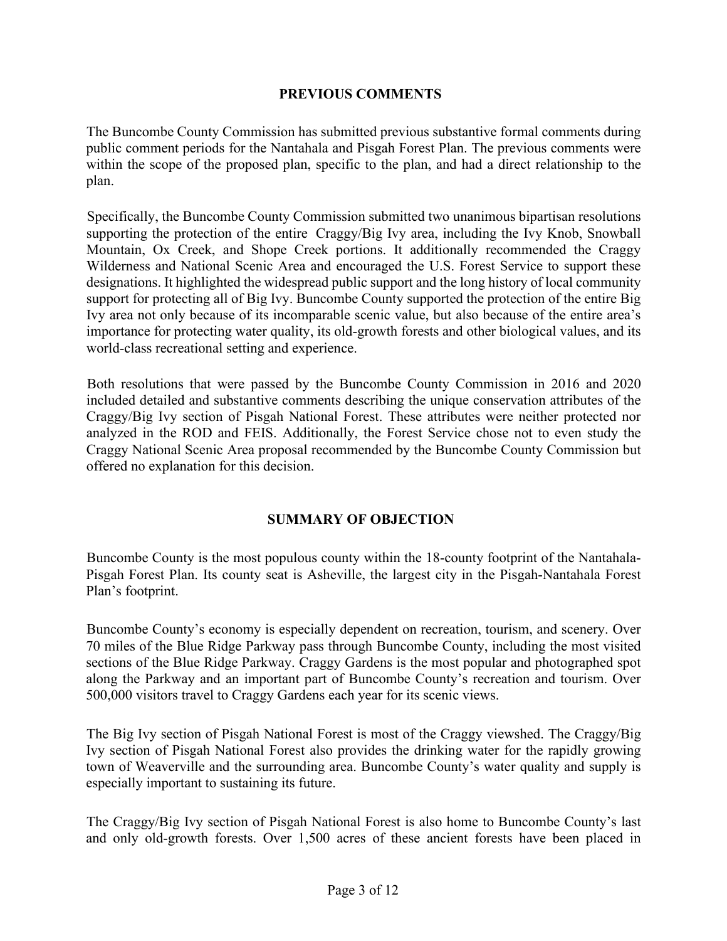#### **PREVIOUS COMMENTS**

The Buncombe County Commission has submitted previous substantive formal comments during public comment periods for the Nantahala and Pisgah Forest Plan. The previous comments were within the scope of the proposed plan, specific to the plan, and had a direct relationship to the plan.

Specifically, the Buncombe County Commission submitted two unanimous bipartisan resolutions supporting the protection of the entire Craggy/Big Ivy area, including the Ivy Knob, Snowball Mountain, Ox Creek, and Shope Creek portions. It additionally recommended the Craggy Wilderness and National Scenic Area and encouraged the U.S. Forest Service to support these designations. It highlighted the widespread public support and the long history of local community support for protecting all of Big Ivy. Buncombe County supported the protection of the entire Big Ivy area not only because of its incomparable scenic value, but also because of the entire area's importance for protecting water quality, its old-growth forests and other biological values, and its world-class recreational setting and experience.

Both resolutions that were passed by the Buncombe County Commission in 2016 and 2020 included detailed and substantive comments describing the unique conservation attributes of the Craggy/Big Ivy section of Pisgah National Forest. These attributes were neither protected nor analyzed in the ROD and FEIS. Additionally, the Forest Service chose not to even study the Craggy National Scenic Area proposal recommended by the Buncombe County Commission but offered no explanation for this decision.

#### **SUMMARY OF OBJECTION**

Buncombe County is the most populous county within the 18-county footprint of the Nantahala-Pisgah Forest Plan. Its county seat is Asheville, the largest city in the Pisgah-Nantahala Forest Plan's footprint.

Buncombe County's economy is especially dependent on recreation, tourism, and scenery. Over 70 miles of the Blue Ridge Parkway pass through Buncombe County, including the most visited sections of the Blue Ridge Parkway. Craggy Gardens is the most popular and photographed spot along the Parkway and an important part of Buncombe County's recreation and tourism. Over 500,000 visitors travel to Craggy Gardens each year for its scenic views.

The Big Ivy section of Pisgah National Forest is most of the Craggy viewshed. The Craggy/Big Ivy section of Pisgah National Forest also provides the drinking water for the rapidly growing town of Weaverville and the surrounding area. Buncombe County's water quality and supply is especially important to sustaining its future.

The Craggy/Big Ivy section of Pisgah National Forest is also home to Buncombe County's last and only old-growth forests. Over 1,500 acres of these ancient forests have been placed in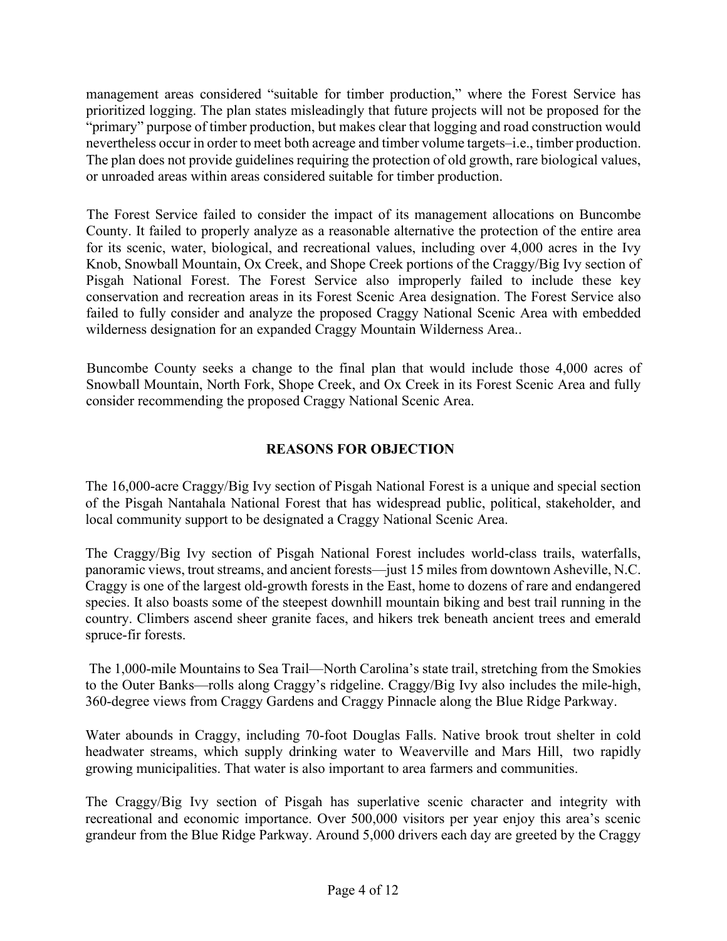management areas considered "suitable for timber production," where the Forest Service has prioritized logging. The plan states misleadingly that future projects will not be proposed for the "primary" purpose of timber production, but makes clear that logging and road construction would nevertheless occur in order to meet both acreage and timber volume targets–i.e., timber production. The plan does not provide guidelines requiring the protection of old growth, rare biological values, or unroaded areas within areas considered suitable for timber production.

The Forest Service failed to consider the impact of its management allocations on Buncombe County. It failed to properly analyze as a reasonable alternative the protection of the entire area for its scenic, water, biological, and recreational values, including over 4,000 acres in the Ivy Knob, Snowball Mountain, Ox Creek, and Shope Creek portions of the Craggy/Big Ivy section of Pisgah National Forest. The Forest Service also improperly failed to include these key conservation and recreation areas in its Forest Scenic Area designation. The Forest Service also failed to fully consider and analyze the proposed Craggy National Scenic Area with embedded wilderness designation for an expanded Craggy Mountain Wilderness Area..

Buncombe County seeks a change to the final plan that would include those 4,000 acres of Snowball Mountain, North Fork, Shope Creek, and Ox Creek in its Forest Scenic Area and fully consider recommending the proposed Craggy National Scenic Area.

## **REASONS FOR OBJECTION**

The 16,000-acre Craggy/Big Ivy section of Pisgah National Forest is a unique and special section of the Pisgah Nantahala National Forest that has widespread public, political, stakeholder, and local community support to be designated a Craggy National Scenic Area.

The Craggy/Big Ivy section of Pisgah National Forest includes world-class trails, waterfalls, panoramic views, trout streams, and ancient forests—just 15 miles from downtown Asheville, N.C. Craggy is one of the largest old-growth forests in the East, home to dozens of rare and endangered species. It also boasts some of the steepest downhill mountain biking and best trail running in the country. Climbers ascend sheer granite faces, and hikers trek beneath ancient trees and emerald spruce-fir forests.

The 1,000-mile Mountains to Sea Trail—North Carolina's state trail, stretching from the Smokies to the Outer Banks—rolls along Craggy's ridgeline. Craggy/Big Ivy also includes the mile-high, 360-degree views from Craggy Gardens and Craggy Pinnacle along the Blue Ridge Parkway.

Water abounds in Craggy, including 70-foot Douglas Falls. Native brook trout shelter in cold headwater streams, which supply drinking water to Weaverville and Mars Hill, two rapidly growing municipalities. That water is also important to area farmers and communities.

The Craggy/Big Ivy section of Pisgah has superlative scenic character and integrity with recreational and economic importance. Over 500,000 visitors per year enjoy this area's scenic grandeur from the Blue Ridge Parkway. Around 5,000 drivers each day are greeted by the Craggy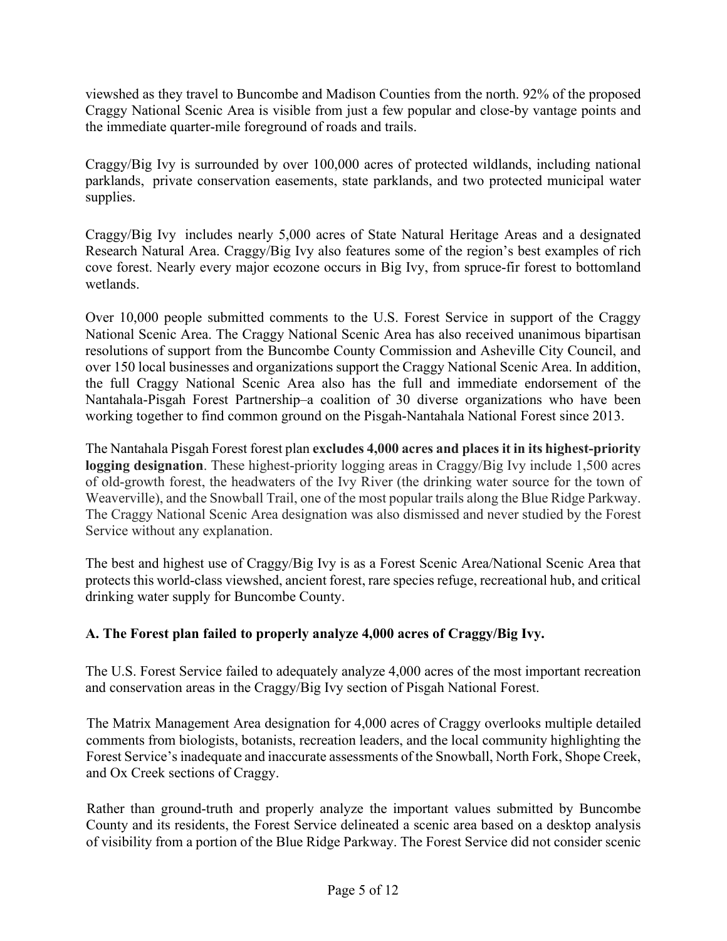viewshed as they travel to Buncombe and Madison Counties from the north. 92% of the proposed Craggy National Scenic Area is visible from just a few popular and close-by vantage points and the immediate quarter-mile foreground of roads and trails.

Craggy/Big Ivy is surrounded by over 100,000 acres of protected wildlands, including national parklands, private conservation easements, state parklands, and two protected municipal water supplies.

Craggy/Big Ivy includes nearly 5,000 acres of State Natural Heritage Areas and a designated Research Natural Area. Craggy/Big Ivy also features some of the region's best examples of rich cove forest. Nearly every major ecozone occurs in Big Ivy, from spruce-fir forest to bottomland wetlands.

Over 10,000 people submitted comments to the U.S. Forest Service in support of the Craggy National Scenic Area. The Craggy National Scenic Area has also received unanimous bipartisan resolutions of support from the Buncombe County Commission and Asheville City Council, and over 150 local businesses and organizations support the Craggy National Scenic Area. In addition, the full Craggy National Scenic Area also has the full and immediate endorsement of the Nantahala-Pisgah Forest Partnership–a coalition of 30 diverse organizations who have been working together to find common ground on the Pisgah-Nantahala National Forest since 2013.

The Nantahala Pisgah Forest forest plan **excludes 4,000 acres and places it in its highest-priority logging designation**. These highest-priority logging areas in Craggy/Big Ivy include 1,500 acres of old-growth forest, the headwaters of the Ivy River (the drinking water source for the town of Weaverville), and the Snowball Trail, one of the most popular trails along the Blue Ridge Parkway. The Craggy National Scenic Area designation was also dismissed and never studied by the Forest Service without any explanation.

The best and highest use of Craggy/Big Ivy is as a Forest Scenic Area/National Scenic Area that protects this world-class viewshed, ancient forest, rare species refuge, recreational hub, and critical drinking water supply for Buncombe County.

## **A. The Forest plan failed to properly analyze 4,000 acres of Craggy/Big Ivy.**

The U.S. Forest Service failed to adequately analyze 4,000 acres of the most important recreation and conservation areas in the Craggy/Big Ivy section of Pisgah National Forest.

The Matrix Management Area designation for 4,000 acres of Craggy overlooks multiple detailed comments from biologists, botanists, recreation leaders, and the local community highlighting the Forest Service's inadequate and inaccurate assessments of the Snowball, North Fork, Shope Creek, and Ox Creek sections of Craggy.

Rather than ground-truth and properly analyze the important values submitted by Buncombe County and its residents, the Forest Service delineated a scenic area based on a desktop analysis of visibility from a portion of the Blue Ridge Parkway. The Forest Service did not consider scenic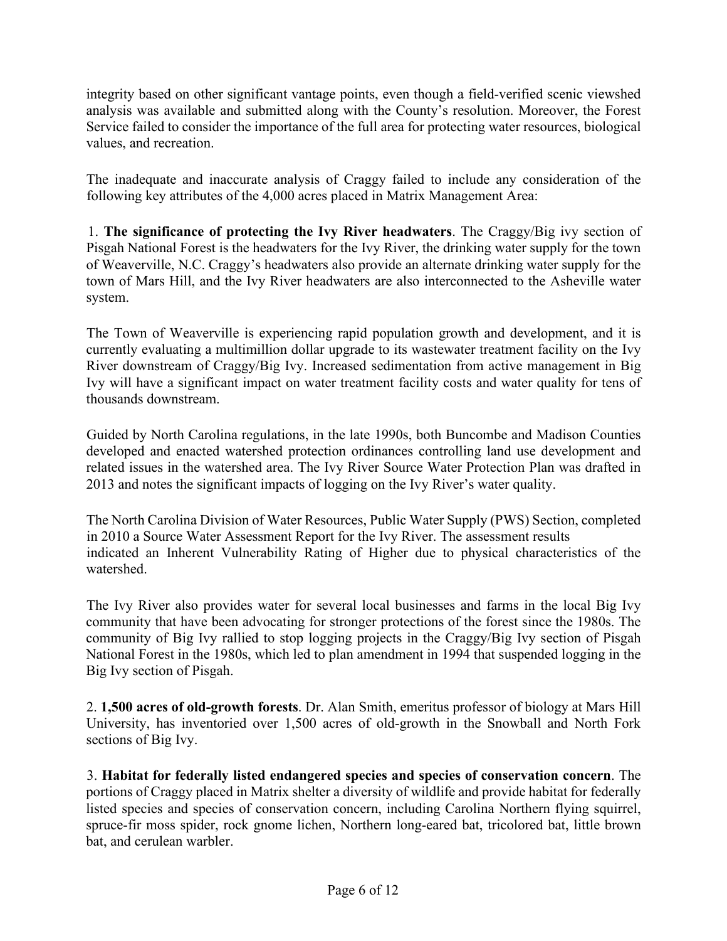integrity based on other significant vantage points, even though a field-verified scenic viewshed analysis was available and submitted along with the County's resolution. Moreover, the Forest Service failed to consider the importance of the full area for protecting water resources, biological values, and recreation.

The inadequate and inaccurate analysis of Craggy failed to include any consideration of the following key attributes of the 4,000 acres placed in Matrix Management Area:

1. **The significance of protecting the Ivy River headwaters**. The Craggy/Big ivy section of Pisgah National Forest is the headwaters for the Ivy River, the drinking water supply for the town of Weaverville, N.C. Craggy's headwaters also provide an alternate drinking water supply for the town of Mars Hill, and the Ivy River headwaters are also interconnected to the Asheville water system.

The Town of Weaverville is experiencing rapid population growth and development, and it is currently evaluating a multimillion dollar upgrade to its wastewater treatment facility on the Ivy River downstream of Craggy/Big Ivy. Increased sedimentation from active management in Big Ivy will have a significant impact on water treatment facility costs and water quality for tens of thousands downstream.

Guided by North Carolina regulations, in the late 1990s, both Buncombe and Madison Counties developed and enacted watershed protection ordinances controlling land use development and related issues in the watershed area. The Ivy River Source Water Protection Plan was drafted in 2013 and notes the significant impacts of logging on the Ivy River's water quality.

The North Carolina Division of Water Resources, Public Water Supply (PWS) Section, completed in 2010 a Source Water Assessment Report for the Ivy River. The assessment results indicated an Inherent Vulnerability Rating of Higher due to physical characteristics of the watershed.

The Ivy River also provides water for several local businesses and farms in the local Big Ivy community that have been advocating for stronger protections of the forest since the 1980s. The community of Big Ivy rallied to stop logging projects in the Craggy/Big Ivy section of Pisgah National Forest in the 1980s, which led to plan amendment in 1994 that suspended logging in the Big Ivy section of Pisgah.

2. **1,500 acres of old-growth forests**. Dr. Alan Smith, emeritus professor of biology at Mars Hill University, has inventoried over 1,500 acres of old-growth in the Snowball and North Fork sections of Big Ivy.

3. **Habitat for federally listed endangered species and species of conservation concern**. The portions of Craggy placed in Matrix shelter a diversity of wildlife and provide habitat for federally listed species and species of conservation concern, including Carolina Northern flying squirrel, spruce-fir moss spider, rock gnome lichen, Northern long-eared bat, tricolored bat, little brown bat, and cerulean warbler.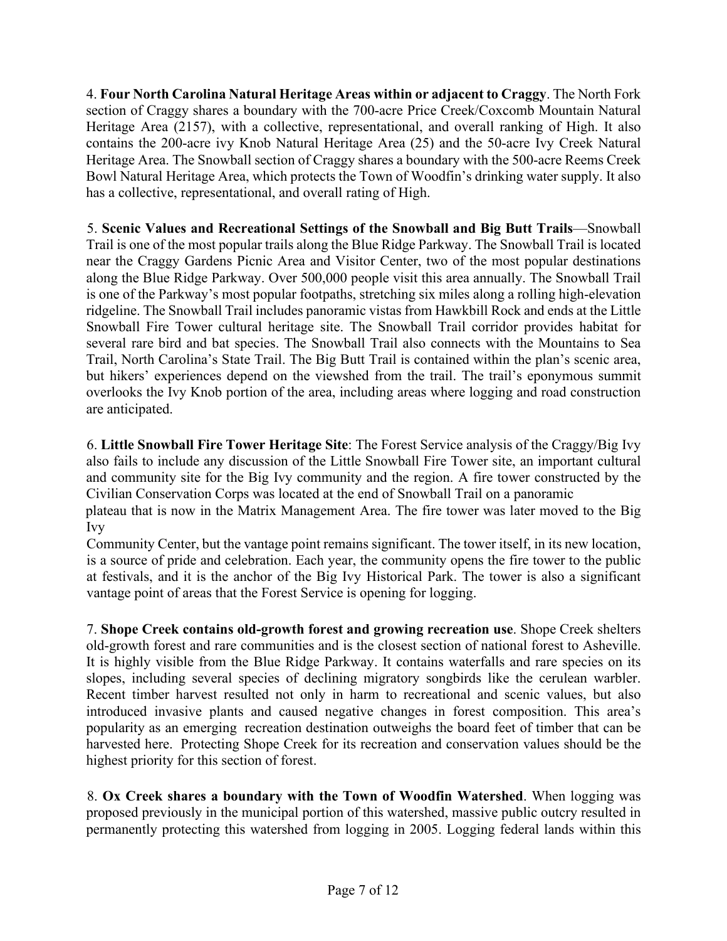4. **Four North Carolina Natural Heritage Areas within or adjacent to Craggy**. The North Fork section of Craggy shares a boundary with the 700-acre Price Creek/Coxcomb Mountain Natural Heritage Area (2157), with a collective, representational, and overall ranking of High. It also contains the 200-acre ivy Knob Natural Heritage Area (25) and the 50-acre Ivy Creek Natural Heritage Area. The Snowball section of Craggy shares a boundary with the 500-acre Reems Creek Bowl Natural Heritage Area, which protects the Town of Woodfin's drinking water supply. It also has a collective, representational, and overall rating of High.

5. **Scenic Values and Recreational Settings of the Snowball and Big Butt Trails**—Snowball Trail is one of the most popular trails along the Blue Ridge Parkway. The Snowball Trail is located near the Craggy Gardens Picnic Area and Visitor Center, two of the most popular destinations along the Blue Ridge Parkway. Over 500,000 people visit this area annually. The Snowball Trail is one of the Parkway's most popular footpaths, stretching six miles along a rolling high-elevation ridgeline. The Snowball Trail includes panoramic vistas from Hawkbill Rock and ends at the Little Snowball Fire Tower cultural heritage site. The Snowball Trail corridor provides habitat for several rare bird and bat species. The Snowball Trail also connects with the Mountains to Sea Trail, North Carolina's State Trail. The Big Butt Trail is contained within the plan's scenic area, but hikers' experiences depend on the viewshed from the trail. The trail's eponymous summit overlooks the Ivy Knob portion of the area, including areas where logging and road construction are anticipated.

6. **Little Snowball Fire Tower Heritage Site**: The Forest Service analysis of the Craggy/Big Ivy also fails to include any discussion of the Little Snowball Fire Tower site, an important cultural and community site for the Big Ivy community and the region. A fire tower constructed by the Civilian Conservation Corps was located at the end of Snowball Trail on a panoramic plateau that is now in the Matrix Management Area. The fire tower was later moved to the Big

Ivy

Community Center, but the vantage point remains significant. The tower itself, in its new location, is a source of pride and celebration. Each year, the community opens the fire tower to the public at festivals, and it is the anchor of the Big Ivy Historical Park. The tower is also a significant vantage point of areas that the Forest Service is opening for logging.

7. **Shope Creek contains old-growth forest and growing recreation use**. Shope Creek shelters old-growth forest and rare communities and is the closest section of national forest to Asheville. It is highly visible from the Blue Ridge Parkway. It contains waterfalls and rare species on its slopes, including several species of declining migratory songbirds like the cerulean warbler. Recent timber harvest resulted not only in harm to recreational and scenic values, but also introduced invasive plants and caused negative changes in forest composition. This area's popularity as an emerging recreation destination outweighs the board feet of timber that can be harvested here. Protecting Shope Creek for its recreation and conservation values should be the highest priority for this section of forest.

8. **Ox Creek shares a boundary with the Town of Woodfin Watershed**. When logging was proposed previously in the municipal portion of this watershed, massive public outcry resulted in permanently protecting this watershed from logging in 2005. Logging federal lands within this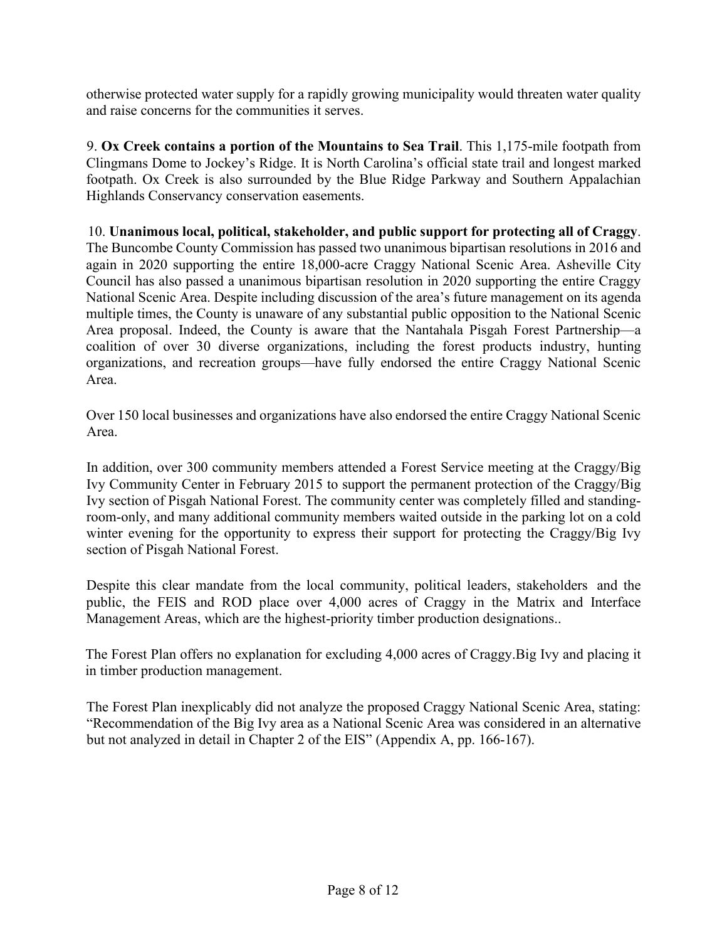otherwise protected water supply for a rapidly growing municipality would threaten water quality and raise concerns for the communities it serves.

9. **Ox Creek contains a portion of the Mountains to Sea Trail**. This 1,175-mile footpath from Clingmans Dome to Jockey's Ridge. It is North Carolina's official state trail and longest marked footpath. Ox Creek is also surrounded by the Blue Ridge Parkway and Southern Appalachian Highlands Conservancy conservation easements.

10. **Unanimous local, political, stakeholder, and public support for protecting all of Craggy**. The Buncombe County Commission has passed two unanimous bipartisan resolutions in 2016 and again in 2020 supporting the entire 18,000-acre Craggy National Scenic Area. Asheville City Council has also passed a unanimous bipartisan resolution in 2020 supporting the entire Craggy National Scenic Area. Despite including discussion of the area's future management on its agenda multiple times, the County is unaware of any substantial public opposition to the National Scenic Area proposal. Indeed, the County is aware that the Nantahala Pisgah Forest Partnership—a coalition of over 30 diverse organizations, including the forest products industry, hunting organizations, and recreation groups—have fully endorsed the entire Craggy National Scenic Area.

Over 150 local businesses and organizations have also endorsed the entire Craggy National Scenic Area.

In addition, over 300 community members attended a Forest Service meeting at the Craggy/Big Ivy Community Center in February 2015 to support the permanent protection of the Craggy/Big Ivy section of Pisgah National Forest. The community center was completely filled and standingroom-only, and many additional community members waited outside in the parking lot on a cold winter evening for the opportunity to express their support for protecting the Craggy/Big Ivy section of Pisgah National Forest.

Despite this clear mandate from the local community, political leaders, stakeholders and the public, the FEIS and ROD place over 4,000 acres of Craggy in the Matrix and Interface Management Areas, which are the highest-priority timber production designations..

The Forest Plan offers no explanation for excluding 4,000 acres of Craggy.Big Ivy and placing it in timber production management.

The Forest Plan inexplicably did not analyze the proposed Craggy National Scenic Area, stating: "Recommendation of the Big Ivy area as a National Scenic Area was considered in an alternative but not analyzed in detail in Chapter 2 of the EIS" (Appendix A, pp. 166-167).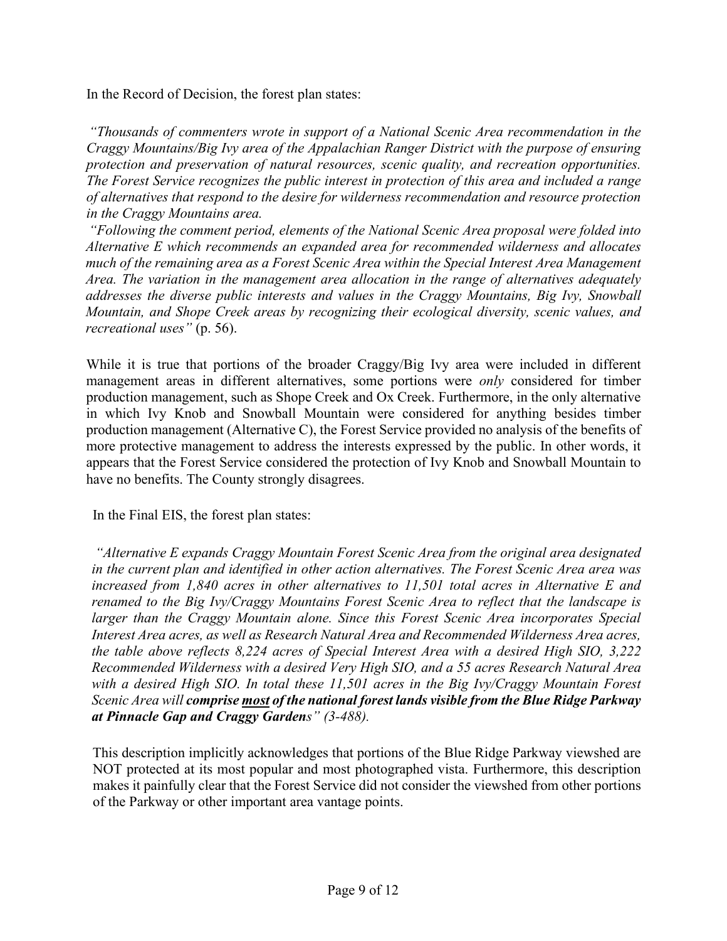In the Record of Decision, the forest plan states:

*"Thousands of commenters wrote in support of a National Scenic Area recommendation in the Craggy Mountains/Big Ivy area of the Appalachian Ranger District with the purpose of ensuring protection and preservation of natural resources, scenic quality, and recreation opportunities. The Forest Service recognizes the public interest in protection of this area and included a range of alternatives that respond to the desire for wilderness recommendation and resource protection in the Craggy Mountains area.*

*"Following the comment period, elements of the National Scenic Area proposal were folded into Alternative E which recommends an expanded area for recommended wilderness and allocates much of the remaining area as a Forest Scenic Area within the Special Interest Area Management Area. The variation in the management area allocation in the range of alternatives adequately addresses the diverse public interests and values in the Craggy Mountains, Big Ivy, Snowball Mountain, and Shope Creek areas by recognizing their ecological diversity, scenic values, and recreational uses"* (p. 56).

While it is true that portions of the broader Craggy/Big Ivy area were included in different management areas in different alternatives, some portions were *only* considered for timber production management, such as Shope Creek and Ox Creek. Furthermore, in the only alternative in which Ivy Knob and Snowball Mountain were considered for anything besides timber production management (Alternative C), the Forest Service provided no analysis of the benefits of more protective management to address the interests expressed by the public. In other words, it appears that the Forest Service considered the protection of Ivy Knob and Snowball Mountain to have no benefits. The County strongly disagrees.

In the Final EIS, the forest plan states:

*"Alternative E expands Craggy Mountain Forest Scenic Area from the original area designated in the current plan and identified in other action alternatives. The Forest Scenic Area area was increased from 1,840 acres in other alternatives to 11,501 total acres in Alternative E and renamed to the Big Ivy/Craggy Mountains Forest Scenic Area to reflect that the landscape is larger than the Craggy Mountain alone. Since this Forest Scenic Area incorporates Special Interest Area acres, as well as Research Natural Area and Recommended Wilderness Area acres, the table above reflects 8,224 acres of Special Interest Area with a desired High SIO, 3,222 Recommended Wilderness with a desired Very High SIO, and a 55 acres Research Natural Area with a desired High SIO. In total these 11,501 acres in the Big Ivy/Craggy Mountain Forest Scenic Area will comprise most of the national forest lands visible from the Blue Ridge Parkway at Pinnacle Gap and Craggy Gardens" (3-488).*

This description implicitly acknowledges that portions of the Blue Ridge Parkway viewshed are NOT protected at its most popular and most photographed vista. Furthermore, this description makes it painfully clear that the Forest Service did not consider the viewshed from other portions of the Parkway or other important area vantage points.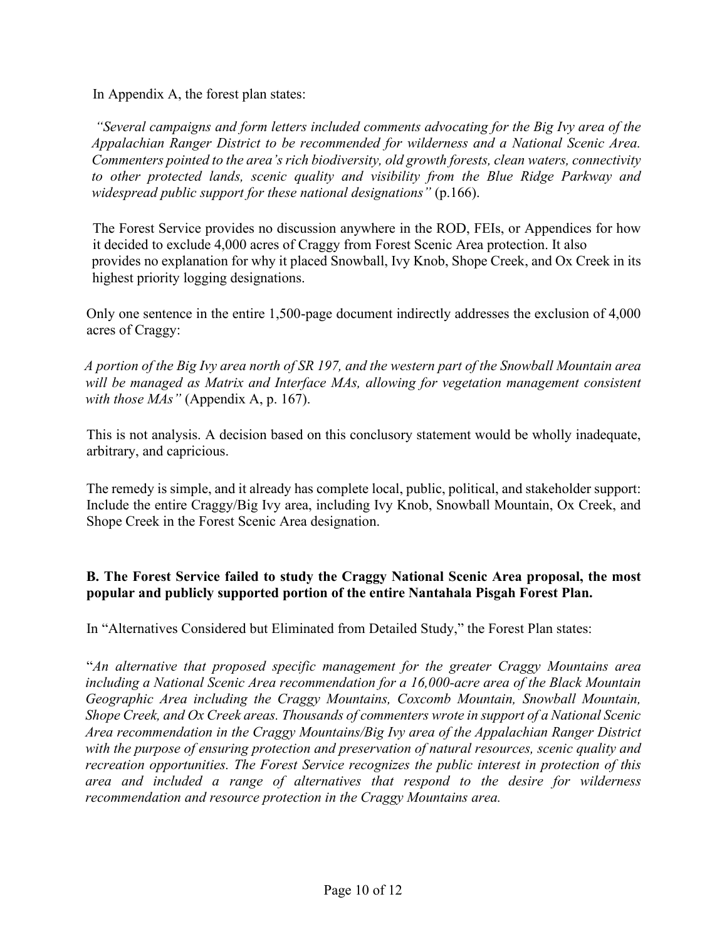In Appendix A, the forest plan states:

*"Several campaigns and form letters included comments advocating for the Big Ivy area of the Appalachian Ranger District to be recommended for wilderness and a National Scenic Area. Commenters pointed to the area's rich biodiversity, old growth forests, clean waters, connectivity to other protected lands, scenic quality and visibility from the Blue Ridge Parkway and widespread public support for these national designations"* (p.166).

The Forest Service provides no discussion anywhere in the ROD, FEIs, or Appendices for how it decided to exclude 4,000 acres of Craggy from Forest Scenic Area protection. It also provides no explanation for why it placed Snowball, Ivy Knob, Shope Creek, and Ox Creek in its highest priority logging designations.

Only one sentence in the entire 1,500-page document indirectly addresses the exclusion of 4,000 acres of Craggy:

*A portion of the Big Ivy area north of SR 197, and the western part of the Snowball Mountain area*  will be managed as Matrix and Interface MAs, allowing for vegetation management consistent *with those MAs"* (Appendix A, p. 167).

This is not analysis. A decision based on this conclusory statement would be wholly inadequate, arbitrary, and capricious.

The remedy is simple, and it already has complete local, public, political, and stakeholder support: Include the entire Craggy/Big Ivy area, including Ivy Knob, Snowball Mountain, Ox Creek, and Shope Creek in the Forest Scenic Area designation.

#### **B. The Forest Service failed to study the Craggy National Scenic Area proposal, the most popular and publicly supported portion of the entire Nantahala Pisgah Forest Plan.**

In "Alternatives Considered but Eliminated from Detailed Study," the Forest Plan states:

"*An alternative that proposed specific management for the greater Craggy Mountains area including a National Scenic Area recommendation for a 16,000-acre area of the Black Mountain Geographic Area including the Craggy Mountains, Coxcomb Mountain, Snowball Mountain, Shope Creek, and Ox Creek areas. Thousands of commenters wrote in support of a National Scenic Area recommendation in the Craggy Mountains/Big Ivy area of the Appalachian Ranger District with the purpose of ensuring protection and preservation of natural resources, scenic quality and recreation opportunities. The Forest Service recognizes the public interest in protection of this area and included a range of alternatives that respond to the desire for wilderness recommendation and resource protection in the Craggy Mountains area.*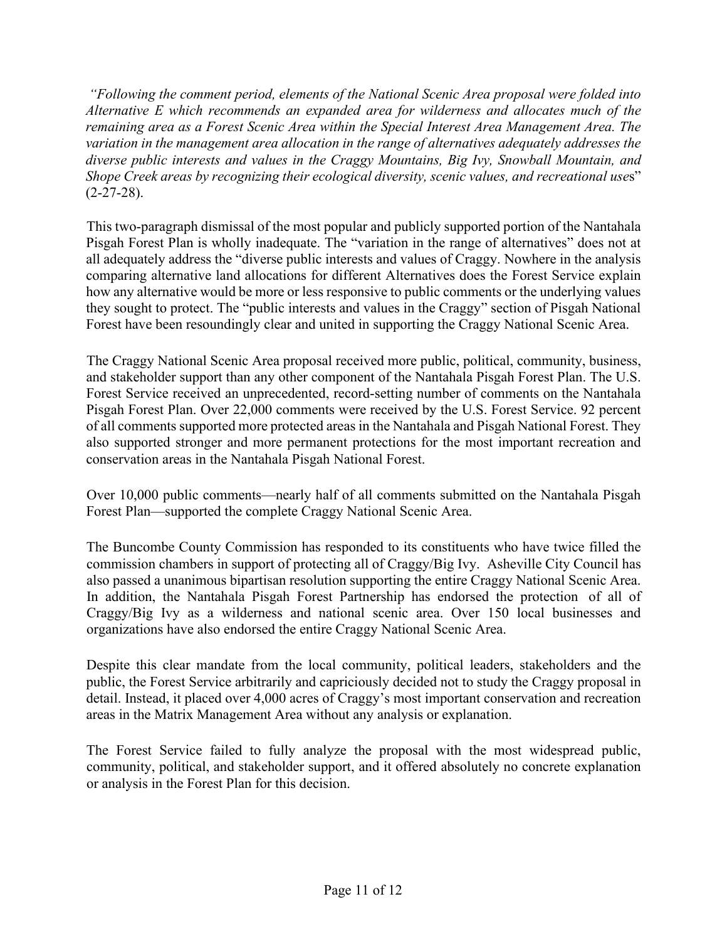*"Following the comment period, elements of the National Scenic Area proposal were folded into Alternative E which recommends an expanded area for wilderness and allocates much of the remaining area as a Forest Scenic Area within the Special Interest Area Management Area. The variation in the management area allocation in the range of alternatives adequately addresses the diverse public interests and values in the Craggy Mountains, Big Ivy, Snowball Mountain, and Shope Creek areas by recognizing their ecological diversity, scenic values, and recreational use*s"  $(2-27-28)$ .

This two-paragraph dismissal of the most popular and publicly supported portion of the Nantahala Pisgah Forest Plan is wholly inadequate. The "variation in the range of alternatives" does not at all adequately address the "diverse public interests and values of Craggy. Nowhere in the analysis comparing alternative land allocations for different Alternatives does the Forest Service explain how any alternative would be more or less responsive to public comments or the underlying values they sought to protect. The "public interests and values in the Craggy" section of Pisgah National Forest have been resoundingly clear and united in supporting the Craggy National Scenic Area.

The Craggy National Scenic Area proposal received more public, political, community, business, and stakeholder support than any other component of the Nantahala Pisgah Forest Plan. The U.S. Forest Service received an unprecedented, record-setting number of comments on the Nantahala Pisgah Forest Plan. Over 22,000 comments were received by the U.S. Forest Service. 92 percent of all comments supported more protected areas in the Nantahala and Pisgah National Forest. They also supported stronger and more permanent protections for the most important recreation and conservation areas in the Nantahala Pisgah National Forest.

Over 10,000 public comments—nearly half of all comments submitted on the Nantahala Pisgah Forest Plan—supported the complete Craggy National Scenic Area.

The Buncombe County Commission has responded to its constituents who have twice filled the commission chambers in support of protecting all of Craggy/Big Ivy. Asheville City Council has also passed a unanimous bipartisan resolution supporting the entire Craggy National Scenic Area. In addition, the Nantahala Pisgah Forest Partnership has endorsed the protection of all of Craggy/Big Ivy as a wilderness and national scenic area. Over 150 local businesses and organizations have also endorsed the entire Craggy National Scenic Area.

Despite this clear mandate from the local community, political leaders, stakeholders and the public, the Forest Service arbitrarily and capriciously decided not to study the Craggy proposal in detail. Instead, it placed over 4,000 acres of Craggy's most important conservation and recreation areas in the Matrix Management Area without any analysis or explanation.

The Forest Service failed to fully analyze the proposal with the most widespread public, community, political, and stakeholder support, and it offered absolutely no concrete explanation or analysis in the Forest Plan for this decision.